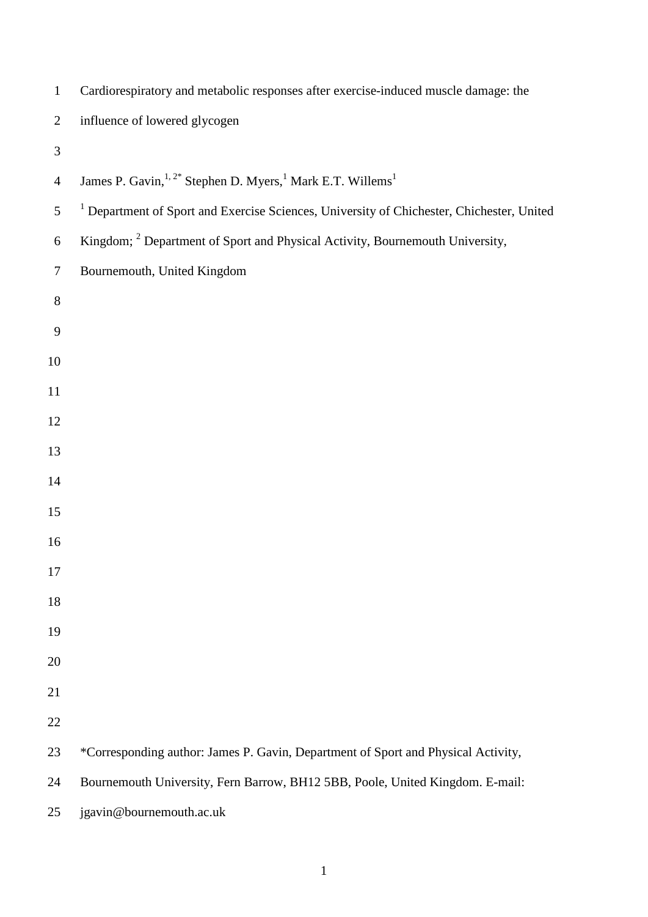| $\mathbf{1}$     | Cardiorespiratory and metabolic responses after exercise-induced muscle damage: the                  |
|------------------|------------------------------------------------------------------------------------------------------|
| $\overline{2}$   | influence of lowered glycogen                                                                        |
| $\mathfrak{Z}$   |                                                                                                      |
| $\overline{4}$   | James P. Gavin, <sup>1, 2*</sup> Stephen D. Myers, <sup>1</sup> Mark E.T. Willems <sup>1</sup>       |
| 5                | <sup>1</sup> Department of Sport and Exercise Sciences, University of Chichester, Chichester, United |
| $\boldsymbol{6}$ | Kingdom; <sup>2</sup> Department of Sport and Physical Activity, Bournemouth University,             |
| $\overline{7}$   | Bournemouth, United Kingdom                                                                          |
| $8\,$            |                                                                                                      |
| $\boldsymbol{9}$ |                                                                                                      |
| 10               |                                                                                                      |
| 11               |                                                                                                      |
| 12               |                                                                                                      |
| 13               |                                                                                                      |
| 14               |                                                                                                      |
| 15               |                                                                                                      |
| 16               |                                                                                                      |
| 17               |                                                                                                      |
| 18               |                                                                                                      |
| 19               |                                                                                                      |
| 20               |                                                                                                      |
| 21               |                                                                                                      |
| 22               |                                                                                                      |
| 23               | *Corresponding author: James P. Gavin, Department of Sport and Physical Activity,                    |
| 24               | Bournemouth University, Fern Barrow, BH12 5BB, Poole, United Kingdom. E-mail:                        |
| 25               | jgavin@bournemouth.ac.uk                                                                             |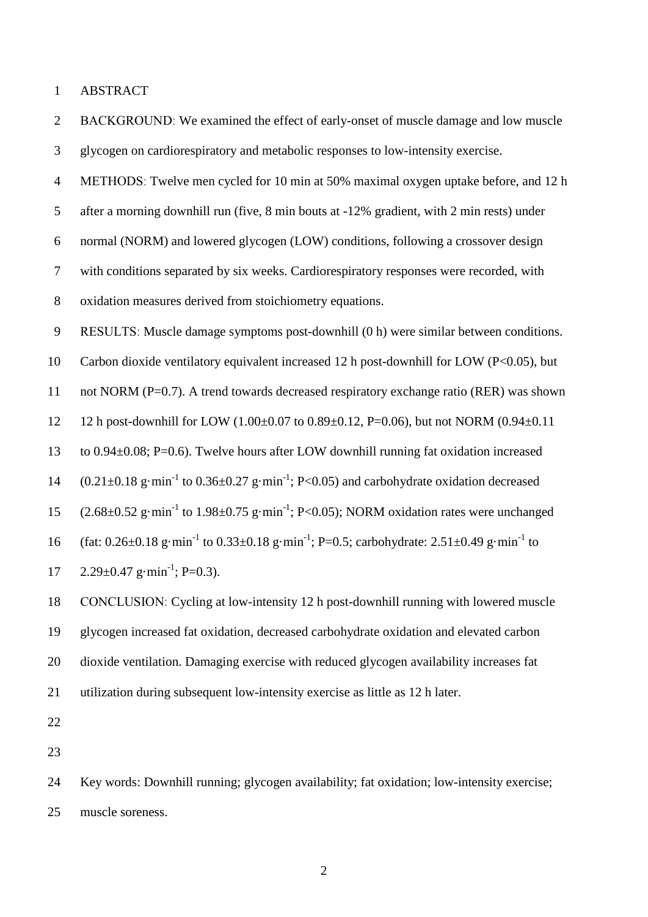ABSTRACT

 BACKGROUNDː We examined the effect of early-onset of muscle damage and low muscle glycogen on cardiorespiratory and metabolic responses to low-intensity exercise. METHODSː Twelve men cycled for 10 min at 50% maximal oxygen uptake before, and 12 h after a morning downhill run (five, 8 min bouts at -12% gradient, with 2 min rests) under normal (NORM) and lowered glycogen (LOW) conditions, following a crossover design with conditions separated by six weeks. Cardiorespiratory responses were recorded, with oxidation measures derived from stoichiometry equations. RESULTSː Muscle damage symptoms post-downhill (0 h) were similar between conditions. Carbon dioxide ventilatory equivalent increased 12 h post-downhill for LOW (P<0.05), but not NORM (P=0.7). A trend towards decreased respiratory exchange ratio (RER) was shown 12 h post-downhill for LOW (1.00±0.07 to 0.89±0.12, P=0.06), but not NORM (0.94±0.11 to 0.94±0.08; P=0.6). Twelve hours after LOW downhill running fat oxidation increased  $(0.21\pm0.18 \text{ g}\cdot\text{min}^{-1} \text{ to } 0.36\pm0.27 \text{ g}\cdot\text{min}^{-1}; P<0.05)$  and carbohydrate oxidation decreased  $(2.68\pm0.52 \text{ g}\cdot\text{min}^{-1} \text{ to } 1.98\pm0.75 \text{ g}\cdot\text{min}^{-1}; P<0.05)$ ; NORM oxidation rates were unchanged 16 (fat:  $0.26 \pm 0.18$  g·min<sup>-1</sup> to  $0.33 \pm 0.18$  g·min<sup>-1</sup>; P=0.5; carbohydrate:  $2.51 \pm 0.49$  g·min<sup>-1</sup> to 17 2.29 $\pm$ 0.47 g·min<sup>-1</sup>; P=0.3). CONCLUSIONː Cycling at low-intensity 12 h post-downhill running with lowered muscle glycogen increased fat oxidation, decreased carbohydrate oxidation and elevated carbon dioxide ventilation. Damaging exercise with reduced glycogen availability increases fat utilization during subsequent low-intensity exercise as little as 12 h later. 

 Key words: Downhill running; glycogen availability; fat oxidation; low-intensity exercise; muscle soreness.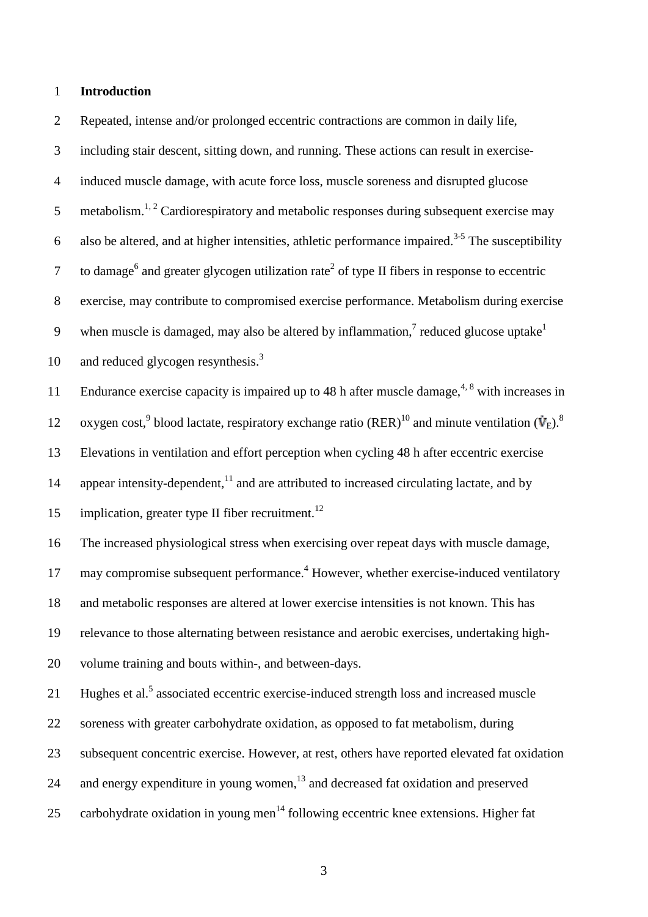# 1 **Introduction**

2 Repeated, intense and/or prolonged eccentric contractions are common in daily life, 3 including stair descent, sitting down, and running. These actions can result in exercise-4 induced muscle damage, with acute force loss, muscle soreness and disrupted glucose 5 metabolism.<sup>1, 2</sup> Cardiorespiratory and metabolic responses during subsequent exercise may 6 also be altered, and at higher intensities, athletic performance impaired.<sup>3-5</sup> The susceptibility to damage<sup>6</sup> and greater glycogen utilization rate<sup>2</sup> of type II fibers in response to eccentric 8 exercise, may contribute to compromised exercise performance. Metabolism during exercise 9 when muscle is damaged, may also be altered by inflammation,<sup>7</sup> reduced glucose uptake<sup>1</sup> 10 and reduced glycogen resynthesis. $3<sup>3</sup>$ 11 Endurance exercise capacity is impaired up to 48 h after muscle damage,  $4.8$  with increases in 12 oxygen cost,<sup>9</sup> blood lactate, respiratory exchange ratio  $(RER)^{10}$  and minute ventilation  $(\dot{V}_E)^{8}$ . 13 Elevations in ventilation and effort perception when cycling 48 h after eccentric exercise 14 appear intensity-dependent,<sup>11</sup> and are attributed to increased circulating lactate, and by 15 implication, greater type II fiber recruitment.<sup>12</sup> 16 The increased physiological stress when exercising over repeat days with muscle damage, 17 may compromise subsequent performance.<sup>4</sup> However, whether exercise-induced ventilatory 18 and metabolic responses are altered at lower exercise intensities is not known. This has 19 relevance to those alternating between resistance and aerobic exercises, undertaking high-20 volume training and bouts within-, and between-days. 21 Hughes et al.<sup>5</sup> associated eccentric exercise-induced strength loss and increased muscle 22 soreness with greater carbohydrate oxidation, as opposed to fat metabolism, during 23 subsequent concentric exercise. However, at rest, others have reported elevated fat oxidation 24 and energy expenditure in young women,<sup>13</sup> and decreased fat oxidation and preserved 25 carbohydrate oxidation in young men<sup>14</sup> following eccentric knee extensions. Higher fat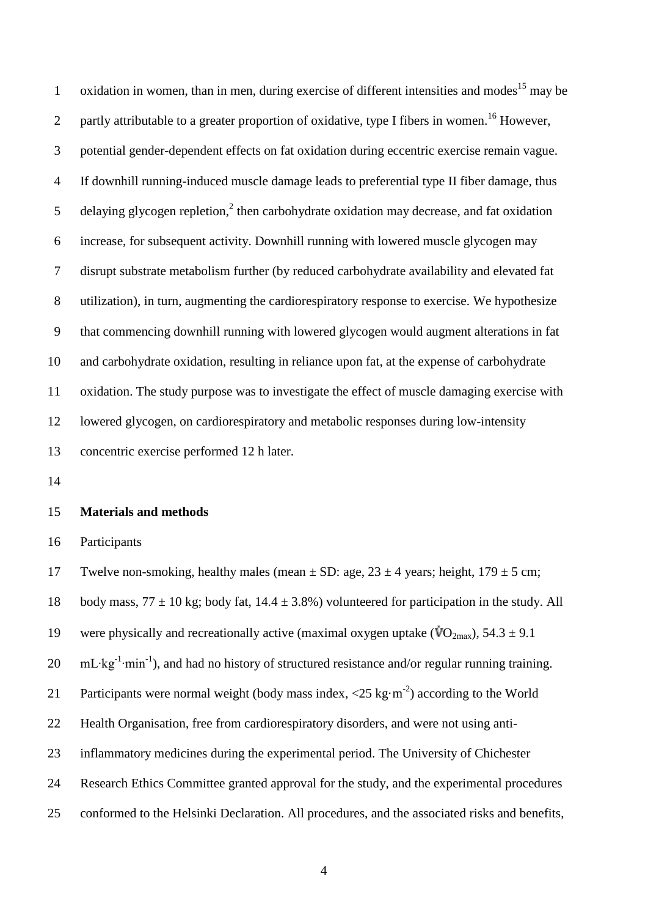1 oxidation in women, than in men, during exercise of different intensities and modes<sup>15</sup> may be 2 partly attributable to a greater proportion of oxidative, type I fibers in women.<sup>16</sup> However, potential gender-dependent effects on fat oxidation during eccentric exercise remain vague. If downhill running-induced muscle damage leads to preferential type II fiber damage, thus 5 delaying glycogen repletion,<sup>2</sup> then carbohydrate oxidation may decrease, and fat oxidation increase, for subsequent activity. Downhill running with lowered muscle glycogen may disrupt substrate metabolism further (by reduced carbohydrate availability and elevated fat utilization), in turn, augmenting the cardiorespiratory response to exercise. We hypothesize that commencing downhill running with lowered glycogen would augment alterations in fat and carbohydrate oxidation, resulting in reliance upon fat, at the expense of carbohydrate oxidation. The study purpose was to investigate the effect of muscle damaging exercise with lowered glycogen, on cardiorespiratory and metabolic responses during low-intensity concentric exercise performed 12 h later.

#### **Materials and methods**

Participants

17 Twelve non-smoking, healthy males (mean  $\pm$  SD: age, 23  $\pm$  4 years; height, 179  $\pm$  5 cm; 18 body mass,  $77 \pm 10$  kg; body fat,  $14.4 \pm 3.8\%$ ) volunteered for participation in the study. All 19 were physically and recreationally active (maximal oxygen uptake ( $\rm{VO_{2max}}$ ), 54.3  $\pm$  9.1 20 mL⋅kg<sup>-1</sup>⋅min<sup>-1</sup>), and had no history of structured resistance and/or regular running training. 21 Participants were normal weight (body mass index,  $\langle 25 \text{ kg} \cdot \text{m}^2 \rangle$ ) according to the World Health Organisation, free from cardiorespiratory disorders, and were not using anti- inflammatory medicines during the experimental period. The University of Chichester Research Ethics Committee granted approval for the study, and the experimental procedures conformed to the Helsinki Declaration. All procedures, and the associated risks and benefits,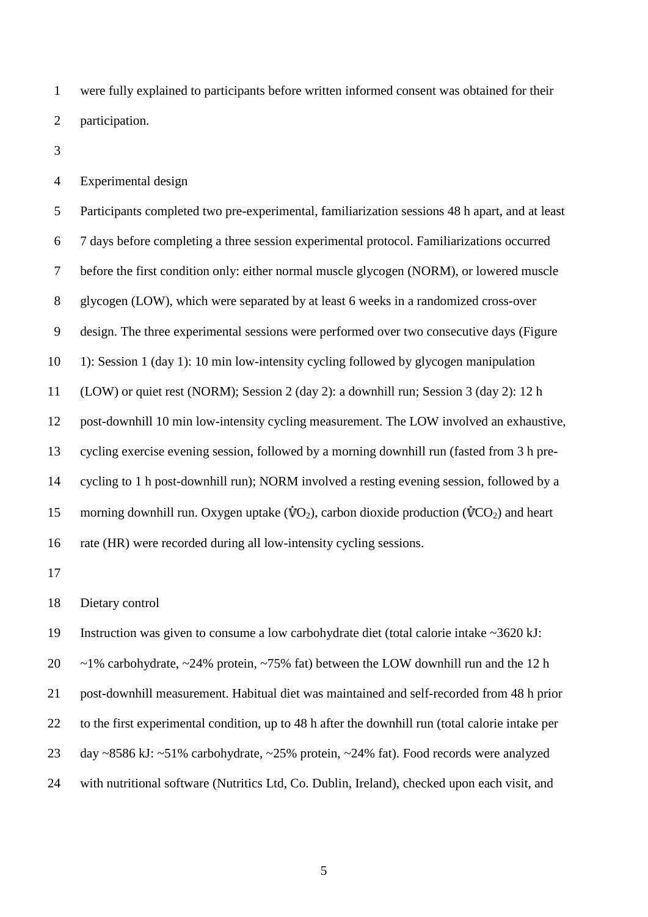were fully explained to participants before written informed consent was obtained for their participation.

## Experimental design

 Participants completed two pre-experimental, familiarization sessions 48 h apart, and at least 7 days before completing a three session experimental protocol. Familiarizations occurred before the first condition only: either normal muscle glycogen (NORM), or lowered muscle glycogen (LOW), which were separated by at least 6 weeks in a randomized cross-over design. The three experimental sessions were performed over two consecutive days (Figure 1): Session 1 (day 1): 10 min low-intensity cycling followed by glycogen manipulation (LOW) or quiet rest (NORM); Session 2 (day 2): a downhill run; Session 3 (day 2): 12 h post-downhill 10 min low-intensity cycling measurement. The LOW involved an exhaustive, cycling exercise evening session, followed by a morning downhill run (fasted from 3 h pre- cycling to 1 h post-downhill run); NORM involved a resting evening session, followed by a 15 morning downhill run. Oxygen uptake ( $\mathbf{V}O_2$ ), carbon dioxide production ( $\mathbf{V}CO_2$ ) and heart rate (HR) were recorded during all low-intensity cycling sessions.

# Dietary control

Instruction was given to consume a low carbohydrate diet (total calorie intake ~3620 kJ:

20  $\sim$  1% carbohydrate,  $\sim$  24% protein,  $\sim$  75% fat) between the LOW downhill run and the 12 h

post-downhill measurement. Habitual diet was maintained and self-recorded from 48 h prior

to the first experimental condition, up to 48 h after the downhill run (total calorie intake per

- day ~8586 kJ: ~51% carbohydrate, ~25% protein, ~24% fat). Food records were analyzed
- with nutritional software (Nutritics Ltd, Co. Dublin, Ireland), checked upon each visit, and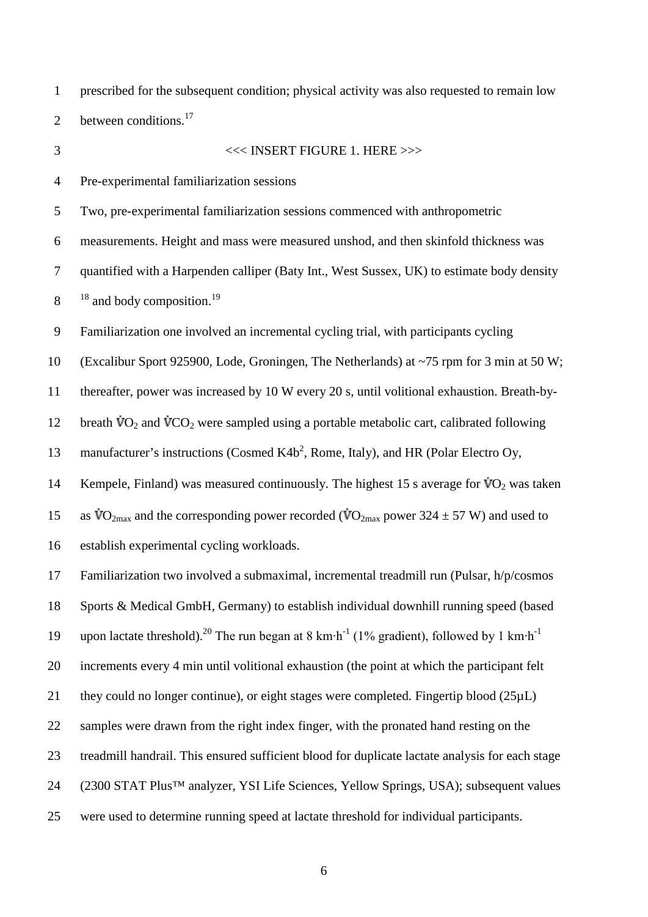| prescribed for the subsequent condition; physical activity was also requested to remain low |
|---------------------------------------------------------------------------------------------|
| 2 between conditions. <sup>17</sup>                                                         |

## <<< INSERT FIGURE 1. HERE >>>

Pre-experimental familiarization sessions

Two, pre-experimental familiarization sessions commenced with anthropometric

measurements. Height and mass were measured unshod, and then skinfold thickness was

quantified with a Harpenden calliper (Baty Int., West Sussex, UK) to estimate body density

 $8^{18}$  and body composition.<sup>19</sup>

Familiarization one involved an incremental cycling trial, with participants cycling

(Excalibur Sport 925900, Lode, Groningen, The Netherlands) at ~75 rpm for 3 min at 50 W;

thereafter, power was increased by 10 W every 20 s, until volitional exhaustion. Breath-by-

12 breath  $\dot{V}O_2$  and  $\dot{V}CO_2$  were sampled using a portable metabolic cart, calibrated following

13 manufacturer's instructions (Cosmed  $K4b^2$ , Rome, Italy), and HR (Polar Electro Oy,

14 Kempele, Finland) was measured continuously. The highest 15 s average for  $\dot{V}O_2$  was taken

15 as  $\mathbf{V}O_{2\text{max}}$  and the corresponding power recorded ( $\mathbf{V}O_{2\text{max}}$  power 324  $\pm$  57 W) and used to

establish experimental cycling workloads.

Familiarization two involved a submaximal, incremental treadmill run (Pulsar, h/p/cosmos

Sports & Medical GmbH, Germany) to establish individual downhill running speed (based

19 upon lactate threshold).<sup>20</sup> The run began at 8 km⋅h<sup>-1</sup> (1% gradient), followed by 1 km⋅h<sup>-1</sup>

increments every 4 min until volitional exhaustion (the point at which the participant felt

21 they could no longer continue), or eight stages were completed. Fingertip blood (25µL)

samples were drawn from the right index finger, with the pronated hand resting on the

treadmill handrail. This ensured sufficient blood for duplicate lactate analysis for each stage

(2300 STAT Plus™ analyzer, YSI Life Sciences, Yellow Springs, USA); subsequent values

were used to determine running speed at lactate threshold for individual participants.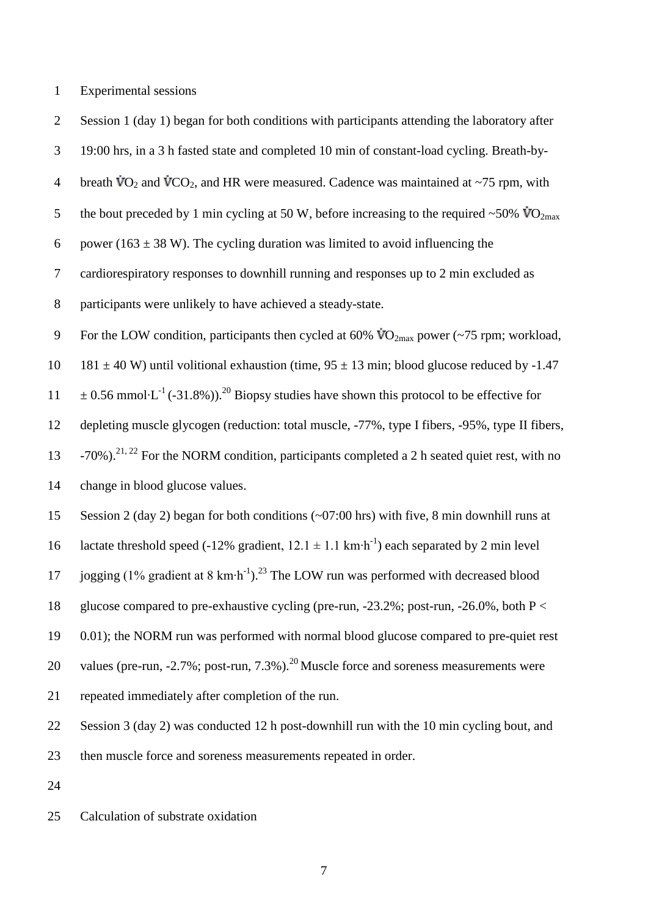Experimental sessions

| $\overline{2}$   | Session 1 (day 1) began for both conditions with participants attending the laboratory after                         |
|------------------|----------------------------------------------------------------------------------------------------------------------|
| 3                | 19:00 hrs, in a 3 h fasted state and completed 10 min of constant-load cycling. Breath-by-                           |
| $\overline{4}$   | breath $\dot{V}O_2$ and $\dot{V}CO_2$ , and HR were measured. Cadence was maintained at ~75 rpm, with                |
| 5                | the bout preceded by 1 min cycling at 50 W, before increasing to the required ~50% $\mathbf{VQ}_{2\text{max}}$       |
| 6                | power (163 $\pm$ 38 W). The cycling duration was limited to avoid influencing the                                    |
| $\boldsymbol{7}$ | cardiorespiratory responses to downhill running and responses up to 2 min excluded as                                |
| $8\,$            | participants were unlikely to have achieved a steady-state.                                                          |
| $\overline{9}$   | For the LOW condition, participants then cycled at 60% $\mathbf{VO}_{2\text{max}}$ power (~75 rpm; workload,         |
| 10               | $181 \pm 40$ W) until volitional exhaustion (time, $95 \pm 13$ min; blood glucose reduced by -1.47                   |
| 11               | $\pm$ 0.56 mmol·L <sup>-1</sup> (-31.8%)). <sup>20</sup> Biopsy studies have shown this protocol to be effective for |
| 12               | depleting muscle glycogen (reduction: total muscle, -77%, type I fibers, -95%, type II fibers,                       |
| 13               | -70%). <sup>21, 22</sup> For the NORM condition, participants completed a 2 h seated quiet rest, with no             |
| 14               | change in blood glucose values.                                                                                      |
| 15               | Session 2 (day 2) began for both conditions (~07:00 hrs) with five, 8 min downhill runs at                           |
| 16               | lactate threshold speed (-12% gradient, $12.1 \pm 1.1$ km·h <sup>-1</sup> ) each separated by 2 min level            |
| 17               | jogging (1% gradient at 8 km·h <sup>-1</sup> ). <sup>23</sup> The LOW run was performed with decreased blood         |
| 18               | glucose compared to pre-exhaustive cycling (pre-run, -23.2%; post-run, -26.0%, both P <                              |
| 19               | 0.01); the NORM run was performed with normal blood glucose compared to pre-quiet rest                               |
| 20               | values (pre-run, $-2.7\%$ ; post-run, 7.3%). <sup>20</sup> Muscle force and soreness measurements were               |
| 21               | repeated immediately after completion of the run.                                                                    |
| 22               | Session 3 (day 2) was conducted 12 h post-downhill run with the 10 min cycling bout, and                             |
| 23               | then muscle force and soreness measurements repeated in order.                                                       |
| 24               |                                                                                                                      |

Calculation of substrate oxidation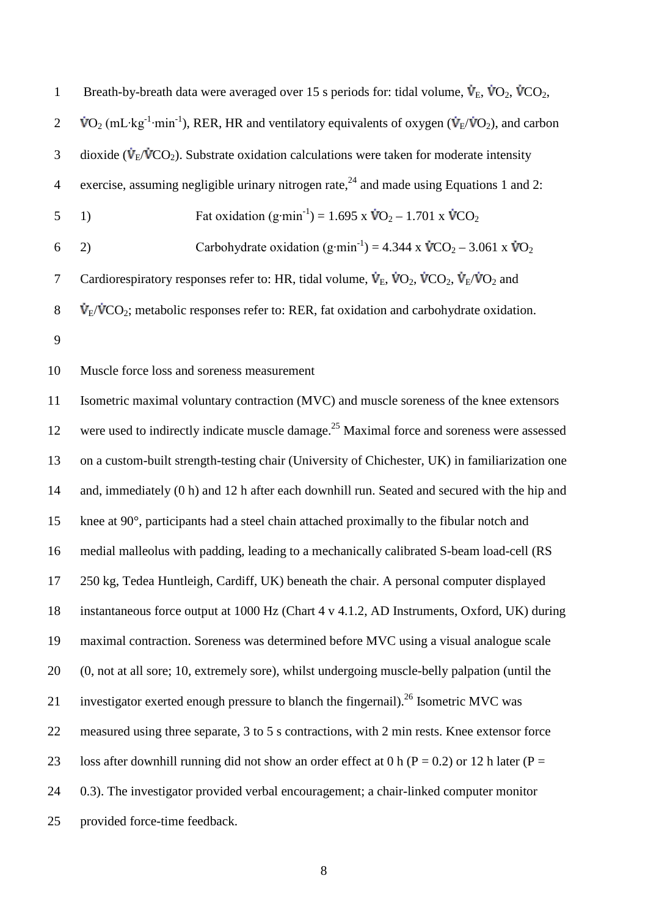1 Breath-by-breath data were averaged over 15 s periods for: tidal volume,  $\dot{V}_{E}$ ,  $\dot{V}O_2$ ,  $\dot{V}CO_2$ ,  $\dot{O}_2$  **V**O<sub>2</sub> (mL⋅kg<sup>-1</sup>⋅min<sup>-1</sup>), RER, HR and ventilatory equivalents of oxygen ( $\dot{V}_{E}/\dot{V}O_2$ ), and carbon 3 dioxide ( $\dot{V}_{F}/\dot{V}CO_{2}$ ). Substrate oxidation calculations were taken for moderate intensity 4 exercise, assuming negligible urinary nitrogen rate,  $^{24}$  and made using Equations 1 and 2: 1) Fat oxidation (g⋅min<sup>-1</sup>) = 1.695 x  $\mathbf{VO}_2 - 1.701$  x  $\mathbf{VO}_2$ 2) Carbohydrate oxidation (g⋅min<sup>-1</sup>) = 4.344 x  $\overline{V}CO_2 - 3.061$  x  $\overline{V}O_2$ 7 Cardiorespiratory responses refer to: HR, tidal volume,  $\dot{V}_E$ ,  $\dot{V}O_2$ ,  $\dot{V}CO_2$ ,  $\dot{V}_E/\dot{V}O_2$  and  $\dot{\mathbf{v}}_F/\dot{\mathbf{v}}_C$  =  $\dot{\mathbf{v}}_F/\dot{\mathbf{v}}_C$  =  $\dot{\mathbf{v}}_F/\dot{\mathbf{v}}_C$  responses refer to: RER, fat oxidation and carbohydrate oxidation. 9 10 Muscle force loss and soreness measurement 11 Isometric maximal voluntary contraction (MVC) and muscle soreness of the knee extensors

12 were used to indirectly indicate muscle damage.<sup>25</sup> Maximal force and soreness were assessed on a custom-built strength-testing chair (University of Chichester, UK) in familiarization one and, immediately (0 h) and 12 h after each downhill run. Seated and secured with the hip and knee at 90°, participants had a steel chain attached proximally to the fibular notch and medial malleolus with padding, leading to a mechanically calibrated S-beam load-cell (RS 250 kg, Tedea Huntleigh, Cardiff, UK) beneath the chair. A personal computer displayed instantaneous force output at 1000 Hz (Chart 4 v 4.1.2, AD Instruments, Oxford, UK) during maximal contraction. Soreness was determined before MVC using a visual analogue scale (0, not at all sore; 10, extremely sore), whilst undergoing muscle-belly palpation (until the 21 investigator exerted enough pressure to blanch the fingernail).<sup>26</sup> Isometric MVC was measured using three separate, 3 to 5 s contractions, with 2 min rests. Knee extensor force 23 loss after downhill running did not show an order effect at 0 h ( $P = 0.2$ ) or 12 h later ( $P = 2$ ) 0.3). The investigator provided verbal encouragement; a chair-linked computer monitor provided force-time feedback.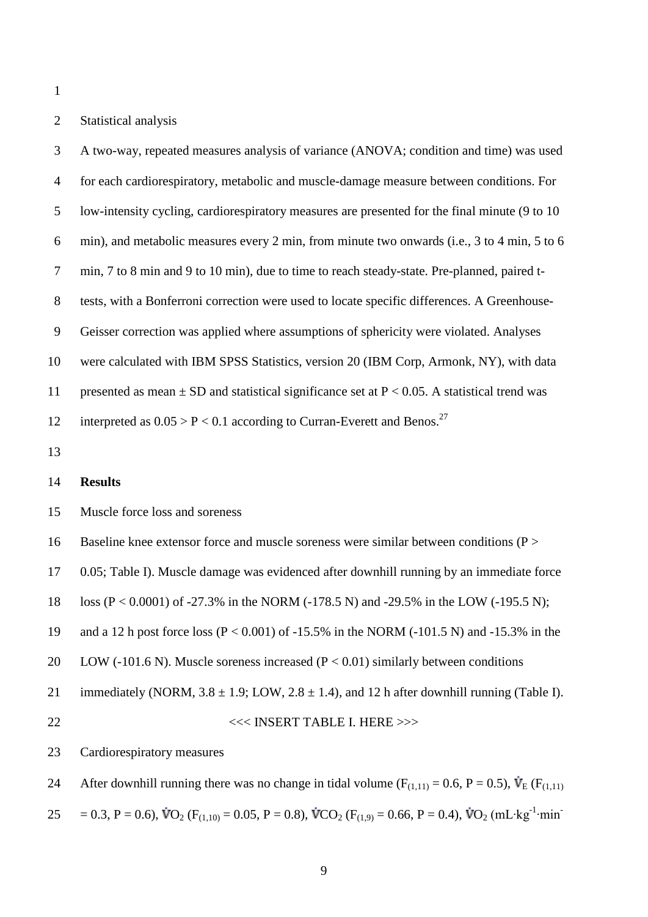#### Statistical analysis

 A two-way, repeated measures analysis of variance (ANOVA; condition and time) was used for each cardiorespiratory, metabolic and muscle-damage measure between conditions. For low-intensity cycling, cardiorespiratory measures are presented for the final minute (9 to 10 min), and metabolic measures every 2 min, from minute two onwards (i.e., 3 to 4 min, 5 to 6 min, 7 to 8 min and 9 to 10 min), due to time to reach steady-state. Pre-planned, paired t- tests, with a Bonferroni correction were used to locate specific differences. A Greenhouse- Geisser correction was applied where assumptions of sphericity were violated. Analyses were calculated with IBM SPSS Statistics, version 20 (IBM Corp, Armonk, NY), with data 11 presented as mean  $\pm$  SD and statistical significance set at P < 0.05. A statistical trend was 12 interpreted as  $0.05 > P < 0.1$  according to Curran-Everett and Benos.<sup>27</sup>

#### **Results**

Muscle force loss and soreness

Baseline knee extensor force and muscle soreness were similar between conditions (P >

0.05; Table I). Muscle damage was evidenced after downhill running by an immediate force

loss (P < 0.0001) of -27.3% in the NORM (-178.5 N) and -29.5% in the LOW (-195.5 N);

and a 12 h post force loss (P < 0.001) of -15.5% in the NORM (-101.5 N) and -15.3% in the

20 LOW (-101.6 N). Muscle soreness increased  $(P < 0.01)$  similarly between conditions

21 immediately (NORM,  $3.8 \pm 1.9$ ; LOW,  $2.8 \pm 1.4$ ), and 12 h after downhill running (Table I).

<<< INSERT TABLE I. HERE >>>

Cardiorespiratory measures

24 After downhill running there was no change in tidal volume ( $F_{(1,11)} = 0.6$ ,  $P = 0.5$ ),  $\dot{V}_{E}$  ( $F_{(1,11)}$ )

25 = 0.3, P = 0.6),  $\mathbf{\dot{V}}\mathbf{O}_2$  (F<sub>(1,10)</sub> = 0.05, P = 0.8),  $\mathbf{\dot{V}}\mathbf{CO}_2$  (F<sub>(1,9)</sub> = 0.66, P = 0.4),  $\mathbf{\dot{V}}\mathbf{O}_2$  (mL⋅kg<sup>-1</sup>⋅min<sup>-</sup>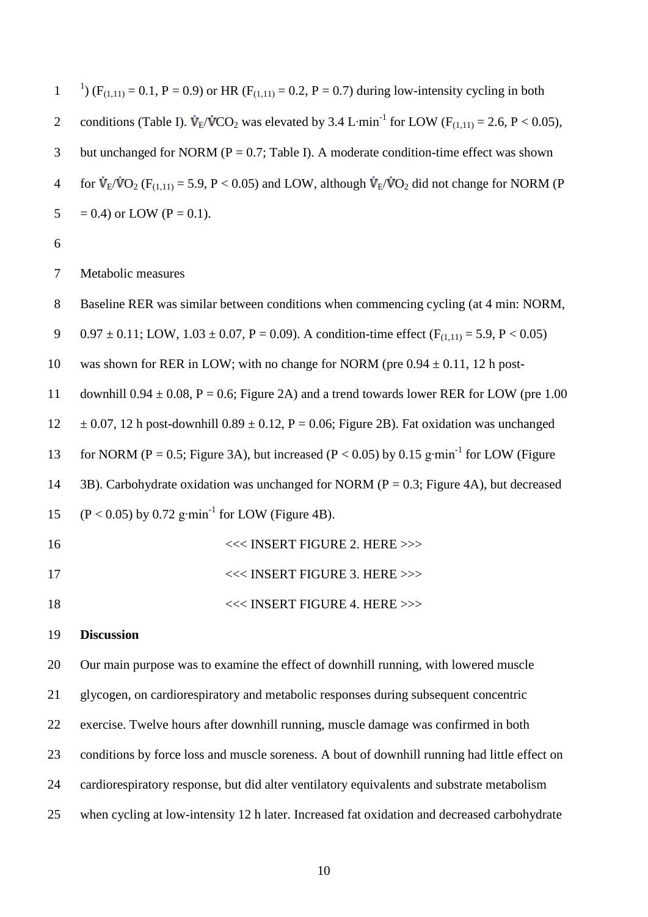| $\mathbf{1}$   | <sup>1</sup> ) (F <sub>(1,11)</sub> = 0.1, P = 0.9) or HR (F <sub>(1,11)</sub> = 0.2, P = 0.7) during low-intensity cycling in both      |
|----------------|------------------------------------------------------------------------------------------------------------------------------------------|
| $\overline{2}$ | conditions (Table I). $\dot{V}_E/\dot{V}CO_2$ was elevated by 3.4 L·min <sup>-1</sup> for LOW (F <sub>(1,11)</sub> = 2.6, P < 0.05),     |
| 3              | but unchanged for NORM ( $P = 0.7$ ; Table I). A moderate condition-time effect was shown                                                |
| $\overline{4}$ | for $\dot{V}_{E}/\dot{V}O_2$ (F <sub>(1,11)</sub> = 5.9, P < 0.05) and LOW, although $\dot{V}_{E}/\dot{V}O_2$ did not change for NORM (P |
| 5              | $= 0.4$ ) or LOW (P $= 0.1$ ).                                                                                                           |
| 6              |                                                                                                                                          |
| $\overline{7}$ | Metabolic measures                                                                                                                       |
| $8\,$          | Baseline RER was similar between conditions when commencing cycling (at 4 min: NORM,                                                     |
| $\overline{9}$ | $0.97 \pm 0.11$ ; LOW, $1.03 \pm 0.07$ , P = 0.09). A condition-time effect (F <sub>(1,11)</sub> = 5.9, P < 0.05)                        |
| 10             | was shown for RER in LOW; with no change for NORM (pre $0.94 \pm 0.11$ , 12 h post-                                                      |
| 11             | downhill $0.94 \pm 0.08$ , P = 0.6; Figure 2A) and a trend towards lower RER for LOW (pre 1.00                                           |
| 12             | $\pm$ 0.07, 12 h post-downhill 0.89 $\pm$ 0.12, P = 0.06; Figure 2B). Fat oxidation was unchanged                                        |
| 13             | for NORM (P = 0.5; Figure 3A), but increased (P < 0.05) by 0.15 g·min <sup>-1</sup> for LOW (Figure                                      |
| 14             | 3B). Carbohydrate oxidation was unchanged for NORM ( $P = 0.3$ ; Figure 4A), but decreased                                               |
| 15             | $(P < 0.05)$ by 0.72 g·min <sup>-1</sup> for LOW (Figure 4B).                                                                            |
| 16             | <<< INSERT FIGURE 2. HERE >>>                                                                                                            |
| 17             | <<< INSERT FIGURE 3. HERE >>>                                                                                                            |
| 18             | <<< INSERT FIGURE 4. HERE >>>                                                                                                            |
| 19             | <b>Discussion</b>                                                                                                                        |
| 20             | Our main purpose was to examine the effect of downhill running, with lowered muscle                                                      |
| 21             | glycogen, on cardiorespiratory and metabolic responses during subsequent concentric                                                      |
| 22             | exercise. Twelve hours after downhill running, muscle damage was confirmed in both                                                       |
| 23             | conditions by force loss and muscle soreness. A bout of downhill running had little effect on                                            |
| 24             | cardiorespiratory response, but did alter ventilatory equivalents and substrate metabolism                                               |
| 25             | when cycling at low-intensity 12 h later. Increased fat oxidation and decreased carbohydrate                                             |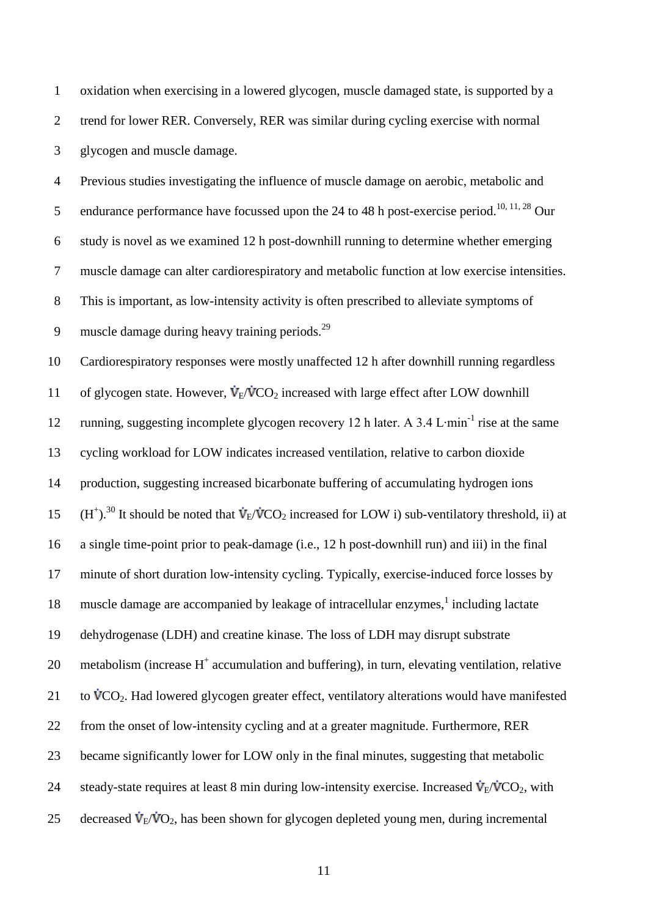oxidation when exercising in a lowered glycogen, muscle damaged state, is supported by a trend for lower RER. Conversely, RER was similar during cycling exercise with normal glycogen and muscle damage.

 Previous studies investigating the influence of muscle damage on aerobic, metabolic and 5 endurance performance have focussed upon the 24 to 48 h post-exercise period.<sup>10, 11, 28</sup> Our study is novel as we examined 12 h post-downhill running to determine whether emerging muscle damage can alter cardiorespiratory and metabolic function at low exercise intensities. This is important, as low-intensity activity is often prescribed to alleviate symptoms of 9 muscle damage during heavy training periods. $^{29}$ 

 Cardiorespiratory responses were mostly unaffected 12 h after downhill running regardless 11 of glycogen state. However,  $\dot{\mathbf{V}}_E/\dot{\mathbf{V}}_C O_2$  increased with large effect after LOW downhill 12 running, suggesting incomplete glycogen recovery 12 h later. A 3.4 L⋅min<sup>-1</sup> rise at the same cycling workload for LOW indicates increased ventilation, relative to carbon dioxide production, suggesting increased bicarbonate buffering of accumulating hydrogen ions 15 (H<sup>+</sup>).<sup>30</sup> It should be noted that  $\dot{V}_E/\dot{V}CO_2$  increased for LOW i) sub-ventilatory threshold, ii) at a single time-point prior to peak-damage (i.e., 12 h post-downhill run) and iii) in the final minute of short duration low-intensity cycling. Typically, exercise-induced force losses by 18 muscle damage are accompanied by leakage of intracellular enzymes,<sup>1</sup> including lactate dehydrogenase (LDH) and creatine kinase. The loss of LDH may disrupt substrate 20 metabolism (increase  $H^+$  accumulation and buffering), in turn, elevating ventilation, relative 21 to  $\dot{V}CO_2$ . Had lowered glycogen greater effect, ventilatory alterations would have manifested from the onset of low-intensity cycling and at a greater magnitude. Furthermore, RER became significantly lower for LOW only in the final minutes, suggesting that metabolic 24 steady-state requires at least 8 min during low-intensity exercise. Increased  $\dot{V}_{F}/\dot{V}CO_{2}$ , with 25 decreased  $\dot{V}_F/\dot{V}O_2$ , has been shown for glycogen depleted young men, during incremental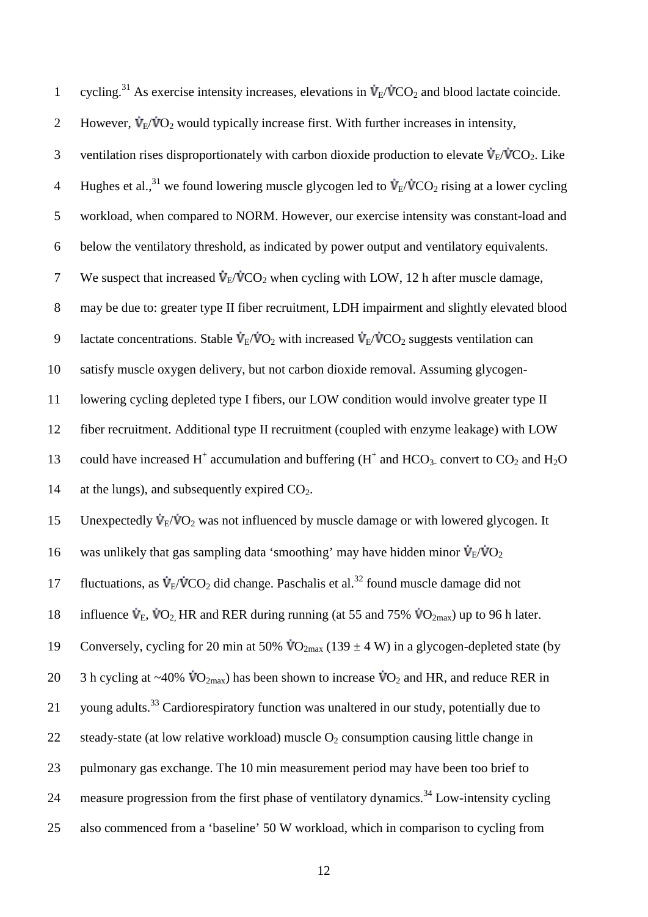1 cycling.<sup>31</sup> As exercise intensity increases, elevations in  $\dot{V}_F/\dot{V}CO_2$  and blood lactate coincide. 2 However,  $\dot{\mathbf{v}}_E/\dot{\mathbf{v}}_2$  would typically increase first. With further increases in intensity, 3 ventilation rises disproportionately with carbon dioxide production to elevate  $\dot{V}_E/\dot{V}CO_2$ . Like 4 Hughes et al.,<sup>31</sup> we found lowering muscle glycogen led to  $\dot{V}_{E}/\dot{V}CO_2$  rising at a lower cycling 5 workload, when compared to NORM. However, our exercise intensity was constant-load and 6 below the ventilatory threshold, as indicated by power output and ventilatory equivalents. 7 We suspect that increased  $\dot{V}_E/\dot{V}CO_2$  when cycling with LOW, 12 h after muscle damage, 8 may be due to: greater type II fiber recruitment, LDH impairment and slightly elevated blood 9 lactate concentrations. Stable  $\dot{V}_F/\dot{V}O_2$  with increased  $\dot{V}_F/\dot{V}CO_2$  suggests ventilation can 10 satisfy muscle oxygen delivery, but not carbon dioxide removal. Assuming glycogen-11 lowering cycling depleted type I fibers, our LOW condition would involve greater type II 12 fiber recruitment. Additional type II recruitment (coupled with enzyme leakage) with LOW 13 could have increased H<sup>+</sup> accumulation and buffering (H<sup>+</sup> and HCO<sub>3</sub>. convert to  $CO_2$  and H<sub>2</sub>O 14 at the lungs), and subsequently expired  $CO<sub>2</sub>$ . 15 Unexpectedly  $\dot{\mathbf{V}}_E/\dot{\mathbf{V}}_2$  was not influenced by muscle damage or with lowered glycogen. It 16 was unlikely that gas sampling data 'smoothing' may have hidden minor  $\dot{V}_{E}/\dot{V}O_2$ 17 fluctuations, as  $\dot{\mathbf{V}}_E/\dot{\mathbf{V}}_E\cos{\omega}$  did change. Paschalis et al.<sup>32</sup> found muscle damage did not 18 influence  $\dot{V}_{E}$ ,  $\dot{V}O_2$  HR and RER during running (at 55 and 75%  $\dot{V}O_{2\text{max}}$ ) up to 96 h later. 19 Conversely, cycling for 20 min at 50%  $\mathbf{VO}_{2\text{max}}$  (139  $\pm$  4 W) in a glycogen-depleted state (by 20 3 h cycling at ~40%  $\mathbf{V}O_{2\text{max}}$ ) has been shown to increase  $\mathbf{V}O_2$  and HR, and reduce RER in 21 young adults.<sup>33</sup> Cardiorespiratory function was unaltered in our study, potentially due to 22 steady-state (at low relative workload) muscle  $O_2$  consumption causing little change in 23 pulmonary gas exchange. The 10 min measurement period may have been too brief to 24 measure progression from the first phase of ventilatory dynamics.<sup>34</sup> Low-intensity cycling 25 also commenced from a 'baseline' 50 W workload, which in comparison to cycling from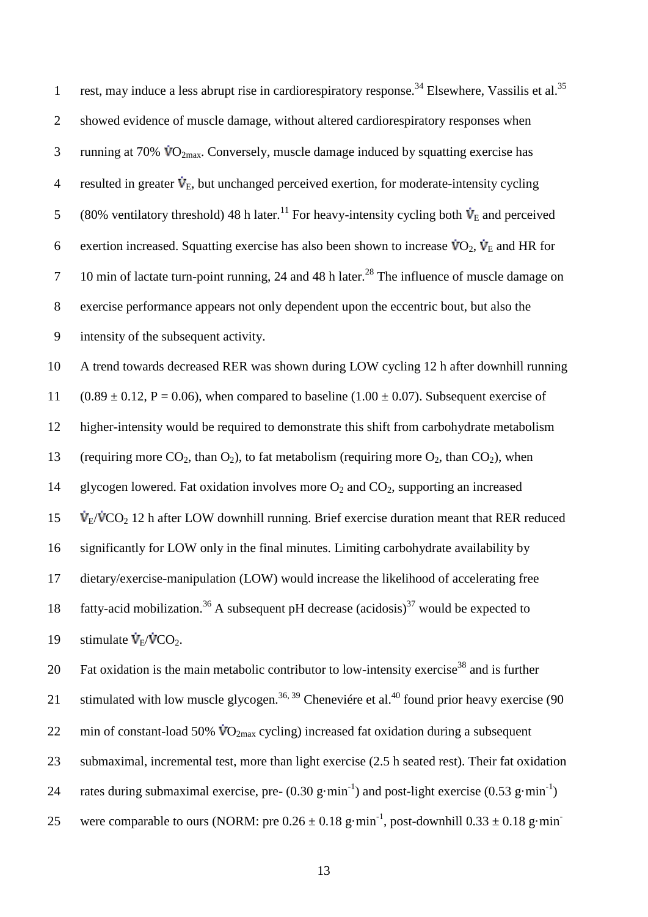| $\mathbf{1}$     | rest, may induce a less abrupt rise in cardiorespiratory response. <sup>34</sup> Elsewhere, Vassilis et al. <sup>35</sup>                        |
|------------------|--------------------------------------------------------------------------------------------------------------------------------------------------|
| $\overline{2}$   | showed evidence of muscle damage, without altered cardiorespiratory responses when                                                               |
| 3                | running at 70% $\mathbf{VO}_{2\text{max}}$ . Conversely, muscle damage induced by squatting exercise has                                         |
| $\overline{4}$   | resulted in greater $\dot{V}_{E}$ , but unchanged perceived exertion, for moderate-intensity cycling                                             |
| 5                | (80% ventilatory threshold) 48 h later. <sup>11</sup> For heavy-intensity cycling both $\dot{V}_E$ and perceived                                 |
| $\boldsymbol{6}$ | exertion increased. Squatting exercise has also been shown to increase $\dot{V}O_2$ , $\dot{V}_E$ and HR for                                     |
| $\boldsymbol{7}$ | 10 min of lactate turn-point running, 24 and 48 h later. <sup>28</sup> The influence of muscle damage on                                         |
| $8\,$            | exercise performance appears not only dependent upon the eccentric bout, but also the                                                            |
| $\overline{9}$   | intensity of the subsequent activity.                                                                                                            |
| 10               | A trend towards decreased RER was shown during LOW cycling 12 h after downhill running                                                           |
| 11               | $(0.89 \pm 0.12, P = 0.06)$ , when compared to baseline $(1.00 \pm 0.07)$ . Subsequent exercise of                                               |
| 12               | higher-intensity would be required to demonstrate this shift from carbohydrate metabolism                                                        |
| 13               | (requiring more $CO_2$ , than $O_2$ ), to fat metabolism (requiring more $O_2$ , than $CO_2$ ), when                                             |
| 14               | glycogen lowered. Fat oxidation involves more $O_2$ and $CO_2$ , supporting an increased                                                         |
| 15               | $\dot{V}_{E}/\dot{V}CO_{2}$ 12 h after LOW downhill running. Brief exercise duration meant that RER reduced                                      |
| 16               | significantly for LOW only in the final minutes. Limiting carbohydrate availability by                                                           |
| 17               | dietary/exercise-manipulation (LOW) would increase the likelihood of accelerating free                                                           |
| 18               | fatty-acid mobilization. <sup>36</sup> A subsequent pH decrease (acidosis) <sup>37</sup> would be expected to                                    |
| 19               | stimulate $\dot{V}_{E}/\dot{V}CO_2$ .                                                                                                            |
| 20               | Fat oxidation is the main metabolic contributor to low-intensity exercise <sup>38</sup> and is further                                           |
| 21               | stimulated with low muscle glycogen. <sup>36, 39</sup> Cheneviere et al. <sup>40</sup> found prior heavy exercise (90                            |
| 22               | min of constant-load 50% $\mathbf{v}_{\Omega_{\text{max}}}$ cycling) increased fat oxidation during a subsequent                                 |
| 23               | submaximal, incremental test, more than light exercise (2.5 h seated rest). Their fat oxidation                                                  |
| 24               | rates during submaximal exercise, pre- $(0.30 \text{ g} \cdot \text{min}^{-1})$ and post-light exercise $(0.53 \text{ g} \cdot \text{min}^{-1})$ |

25 were comparable to ours (NORM: pre  $0.26 \pm 0.18$  g·min<sup>-1</sup>, post-downhill  $0.33 \pm 0.18$  g·min<sup>-1</sup>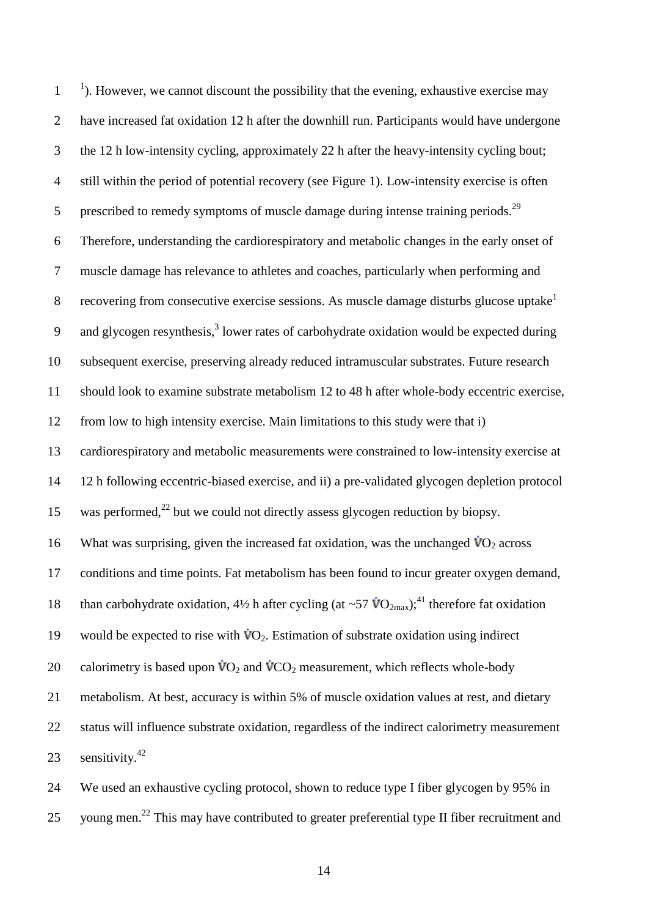$1<sup>-1</sup>$ ). However, we cannot discount the possibility that the evening, exhaustive exercise may have increased fat oxidation 12 h after the downhill run. Participants would have undergone the 12 h low-intensity cycling, approximately 22 h after the heavy-intensity cycling bout; still within the period of potential recovery (see Figure 1). Low-intensity exercise is often 5 prescribed to remedy symptoms of muscle damage during intense training periods.<sup>29</sup> Therefore, understanding the cardiorespiratory and metabolic changes in the early onset of muscle damage has relevance to athletes and coaches, particularly when performing and 8 recovering from consecutive exercise sessions. As muscle damage disturbs glucose uptake<sup>1</sup> 9 and glycogen resynthesis, lower rates of carbohydrate oxidation would be expected during subsequent exercise, preserving already reduced intramuscular substrates. Future research should look to examine substrate metabolism 12 to 48 h after whole-body eccentric exercise, from low to high intensity exercise. Main limitations to this study were that i) cardiorespiratory and metabolic measurements were constrained to low-intensity exercise at 12 h following eccentric-biased exercise, and ii) a pre-validated glycogen depletion protocol 15 was performed,<sup>22</sup> but we could not directly assess glycogen reduction by biopsy. 16 What was surprising, given the increased fat oxidation, was the unchanged  $\dot{V}O_2$  across conditions and time points. Fat metabolism has been found to incur greater oxygen demand, 18 than carbohydrate oxidation,  $4\frac{1}{2}$  h after cycling (at ~57  $\mathbf{VO}_{2\text{max}}$ );<sup>41</sup> therefore fat oxidation 19 would be expected to rise with  $\mathbf{V}O_2$ . Estimation of substrate oxidation using indirect 20 calorimetry is based upon  $\dot{V}O_2$  and  $\dot{V}CO_2$  measurement, which reflects whole-body metabolism. At best, accuracy is within 5% of muscle oxidation values at rest, and dietary status will influence substrate oxidation, regardless of the indirect calorimetry measurement 23 sensitivity.<sup>42</sup>

 We used an exhaustive cycling protocol, shown to reduce type I fiber glycogen by 95% in 25 young men.<sup>22</sup> This may have contributed to greater preferential type II fiber recruitment and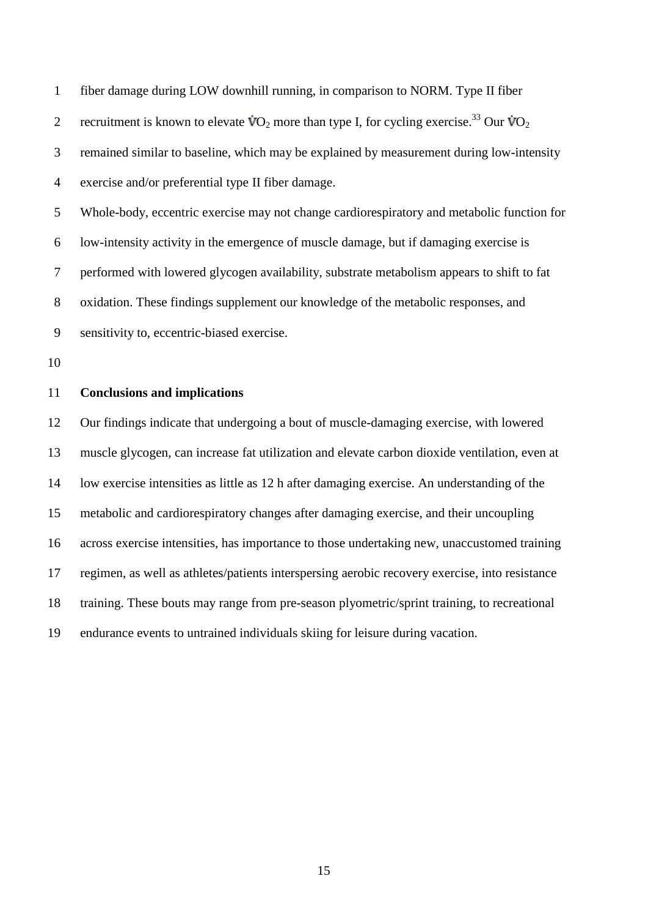fiber damage during LOW downhill running, in comparison to NORM. Type II fiber 2 recruitment is known to elevate  $\mathbf{v}_{\mathbf{O}_2}$  more than type I, for cycling exercise.<sup>33</sup> Our  $\mathbf{v}_{\mathbf{O}_2}$  remained similar to baseline, which may be explained by measurement during low-intensity exercise and/or preferential type II fiber damage.

 Whole-body, eccentric exercise may not change cardiorespiratory and metabolic function for low-intensity activity in the emergence of muscle damage, but if damaging exercise is performed with lowered glycogen availability, substrate metabolism appears to shift to fat oxidation. These findings supplement our knowledge of the metabolic responses, and sensitivity to, eccentric-biased exercise.

## **Conclusions and implications**

 Our findings indicate that undergoing a bout of muscle-damaging exercise, with lowered muscle glycogen, can increase fat utilization and elevate carbon dioxide ventilation, even at low exercise intensities as little as 12 h after damaging exercise. An understanding of the metabolic and cardiorespiratory changes after damaging exercise, and their uncoupling across exercise intensities, has importance to those undertaking new, unaccustomed training regimen, as well as athletes/patients interspersing aerobic recovery exercise, into resistance training. These bouts may range from pre-season plyometric/sprint training, to recreational endurance events to untrained individuals skiing for leisure during vacation.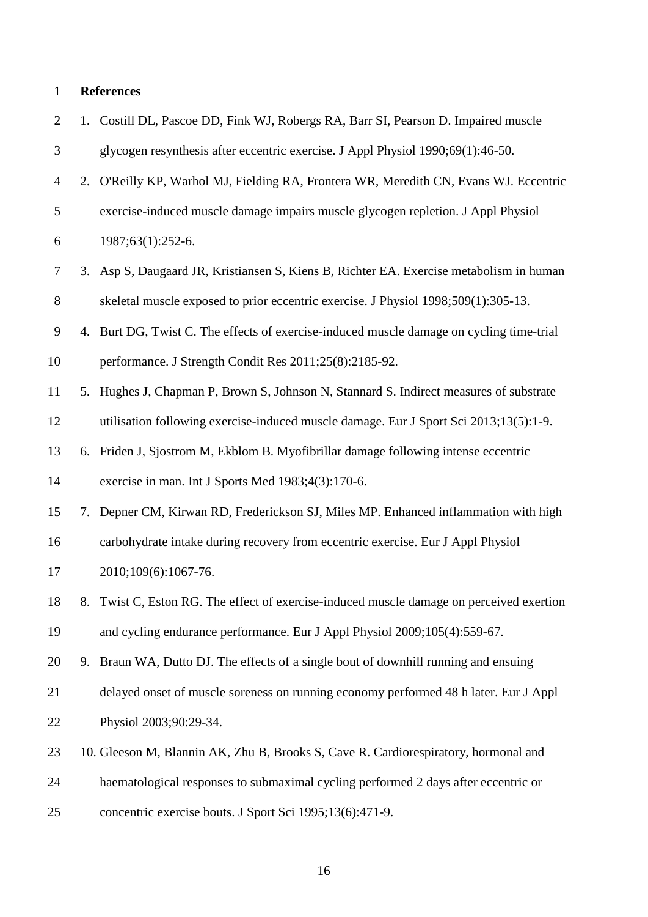# **References**

| $\overline{2}$ | 1. Costill DL, Pascoe DD, Fink WJ, Robergs RA, Barr SI, Pearson D. Impaired muscle       |
|----------------|------------------------------------------------------------------------------------------|
| 3              | glycogen resynthesis after eccentric exercise. J Appl Physiol 1990;69(1):46-50.          |
| $\overline{4}$ | 2. O'Reilly KP, Warhol MJ, Fielding RA, Frontera WR, Meredith CN, Evans WJ. Eccentric    |
| 5              | exercise-induced muscle damage impairs muscle glycogen repletion. J Appl Physiol         |
| 6              | 1987;63(1):252-6.                                                                        |
| $\tau$         | 3. Asp S, Daugaard JR, Kristiansen S, Kiens B, Richter EA. Exercise metabolism in human  |
| $8\,$          | skeletal muscle exposed to prior eccentric exercise. J Physiol 1998;509(1):305-13.       |
| 9              | 4. Burt DG, Twist C. The effects of exercise-induced muscle damage on cycling time-trial |
| 10             | performance. J Strength Condit Res 2011;25(8):2185-92.                                   |
| 11             | 5. Hughes J, Chapman P, Brown S, Johnson N, Stannard S. Indirect measures of substrate   |
| 12             | utilisation following exercise-induced muscle damage. Eur J Sport Sci 2013;13(5):1-9.    |
| 13             | 6. Friden J, Sjostrom M, Ekblom B. Myofibrillar damage following intense eccentric       |
| 14             | exercise in man. Int J Sports Med 1983;4(3):170-6.                                       |
| 15             | 7. Depner CM, Kirwan RD, Frederickson SJ, Miles MP. Enhanced inflammation with high      |
| 16             | carbohydrate intake during recovery from eccentric exercise. Eur J Appl Physiol          |
| 17             | 2010;109(6):1067-76.                                                                     |
| 18             | 8. Twist C, Eston RG. The effect of exercise-induced muscle damage on perceived exertion |
| 19             | and cycling endurance performance. Eur J Appl Physiol 2009;105(4):559-67.                |
| 20             | 9. Braun WA, Dutto DJ. The effects of a single bout of downhill running and ensuing      |
| 21             | delayed onset of muscle soreness on running economy performed 48 h later. Eur J Appl     |
| 22             | Physiol 2003;90:29-34.                                                                   |
| 23             | 10. Gleeson M, Blannin AK, Zhu B, Brooks S, Cave R. Cardiorespiratory, hormonal and      |
| 24             | haematological responses to submaximal cycling performed 2 days after eccentric or       |
| 25             | concentric exercise bouts. J Sport Sci 1995;13(6):471-9.                                 |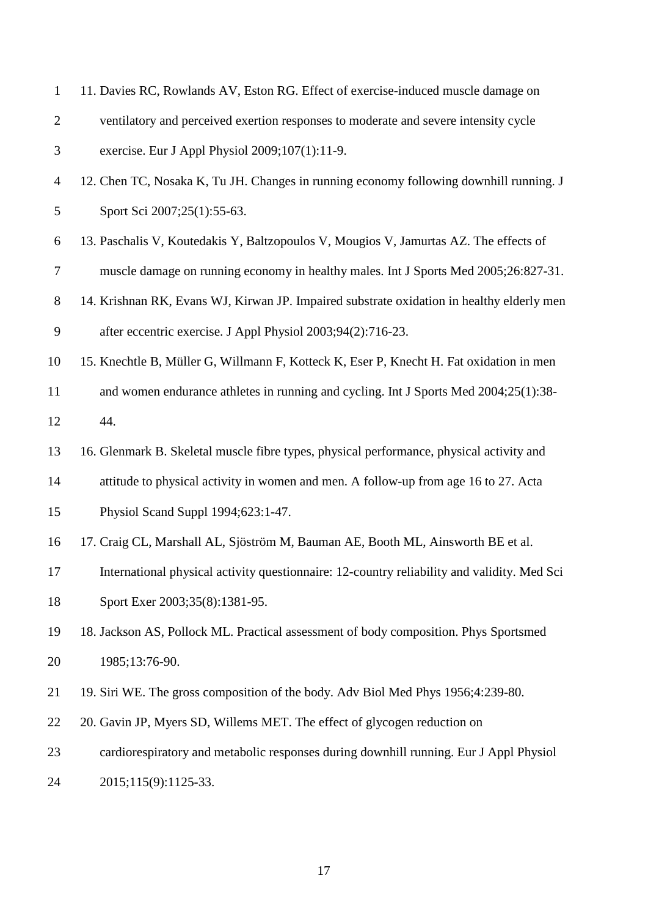| $1\,$          | 11. Davies RC, Rowlands AV, Eston RG. Effect of exercise-induced muscle damage on           |
|----------------|---------------------------------------------------------------------------------------------|
| $\mathbf{2}$   | ventilatory and perceived exertion responses to moderate and severe intensity cycle         |
| 3              | exercise. Eur J Appl Physiol 2009;107(1):11-9.                                              |
| $\overline{4}$ | 12. Chen TC, Nosaka K, Tu JH. Changes in running economy following downhill running. J      |
| 5              | Sport Sci 2007;25(1):55-63.                                                                 |
| 6              | 13. Paschalis V, Koutedakis Y, Baltzopoulos V, Mougios V, Jamurtas AZ. The effects of       |
| 7              | muscle damage on running economy in healthy males. Int J Sports Med 2005;26:827-31.         |
| 8              | 14. Krishnan RK, Evans WJ, Kirwan JP. Impaired substrate oxidation in healthy elderly men   |
| $\mathbf{9}$   | after eccentric exercise. J Appl Physiol 2003;94(2):716-23.                                 |
| 10             | 15. Knechtle B, Müller G, Willmann F, Kotteck K, Eser P, Knecht H. Fat oxidation in men     |
| 11             | and women endurance athletes in running and cycling. Int J Sports Med 2004;25(1):38-        |
| 12             | 44.                                                                                         |
| 13             | 16. Glenmark B. Skeletal muscle fibre types, physical performance, physical activity and    |
| 14             | attitude to physical activity in women and men. A follow-up from age 16 to 27. Acta         |
| 15             | Physiol Scand Suppl 1994;623:1-47.                                                          |
| 16             | 17. Craig CL, Marshall AL, Sjöström M, Bauman AE, Booth ML, Ainsworth BE et al.             |
| 17             | International physical activity questionnaire: 12-country reliability and validity. Med Sci |
| 18             | Sport Exer 2003;35(8):1381-95.                                                              |
| 19             | 18. Jackson AS, Pollock ML. Practical assessment of body composition. Phys Sportsmed        |
| 20             | 1985;13:76-90.                                                                              |
| 21             | 19. Siri WE. The gross composition of the body. Adv Biol Med Phys 1956;4:239-80.            |
| 22             | 20. Gavin JP, Myers SD, Willems MET. The effect of glycogen reduction on                    |
| 23             | cardiorespiratory and metabolic responses during downhill running. Eur J Appl Physiol       |
| 24             | 2015;115(9):1125-33.                                                                        |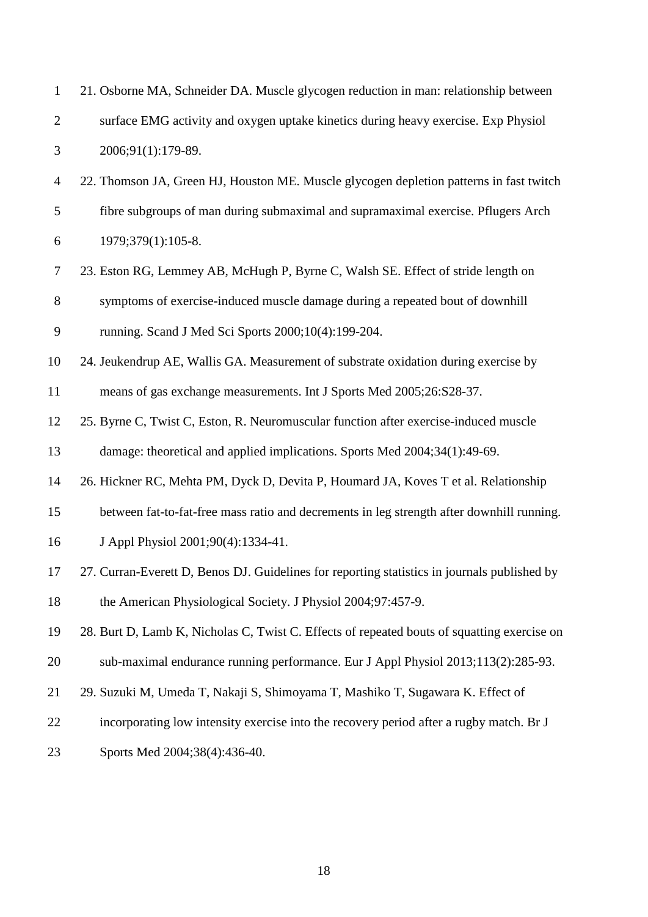| $\mathbf{1}$   | 21. Osborne MA, Schneider DA. Muscle glycogen reduction in man: relationship between         |
|----------------|----------------------------------------------------------------------------------------------|
| $\overline{2}$ | surface EMG activity and oxygen uptake kinetics during heavy exercise. Exp Physiol           |
| 3              | 2006;91(1):179-89.                                                                           |
| $\overline{4}$ | 22. Thomson JA, Green HJ, Houston ME. Muscle glycogen depletion patterns in fast twitch      |
| 5              | fibre subgroups of man during submaximal and supramaximal exercise. Pflugers Arch            |
| 6              | 1979;379(1):105-8.                                                                           |
| $\overline{7}$ | 23. Eston RG, Lemmey AB, McHugh P, Byrne C, Walsh SE. Effect of stride length on             |
| $8\,$          | symptoms of exercise-induced muscle damage during a repeated bout of downhill                |
| 9              | running. Scand J Med Sci Sports 2000;10(4):199-204.                                          |
| 10             | 24. Jeukendrup AE, Wallis GA. Measurement of substrate oxidation during exercise by          |
| 11             | means of gas exchange measurements. Int J Sports Med 2005;26:S28-37.                         |
| 12             | 25. Byrne C, Twist C, Eston, R. Neuromuscular function after exercise-induced muscle         |
| 13             | damage: theoretical and applied implications. Sports Med 2004;34(1):49-69.                   |
| 14             | 26. Hickner RC, Mehta PM, Dyck D, Devita P, Houmard JA, Koves T et al. Relationship          |
| 15             | between fat-to-fat-free mass ratio and decrements in leg strength after downhill running.    |
| 16             | J Appl Physiol 2001;90(4):1334-41.                                                           |
| 17             | 27. Curran-Everett D, Benos DJ. Guidelines for reporting statistics in journals published by |
| 18             | the American Physiological Society. J Physiol 2004;97:457-9.                                 |
| 19             | 28. Burt D, Lamb K, Nicholas C, Twist C. Effects of repeated bouts of squatting exercise on  |
| 20             | sub-maximal endurance running performance. Eur J Appl Physiol 2013;113(2):285-93.            |
| 21             | 29. Suzuki M, Umeda T, Nakaji S, Shimoyama T, Mashiko T, Sugawara K. Effect of               |
| 22             | incorporating low intensity exercise into the recovery period after a rugby match. Br J      |
| 23             | Sports Med 2004;38(4):436-40.                                                                |
|                |                                                                                              |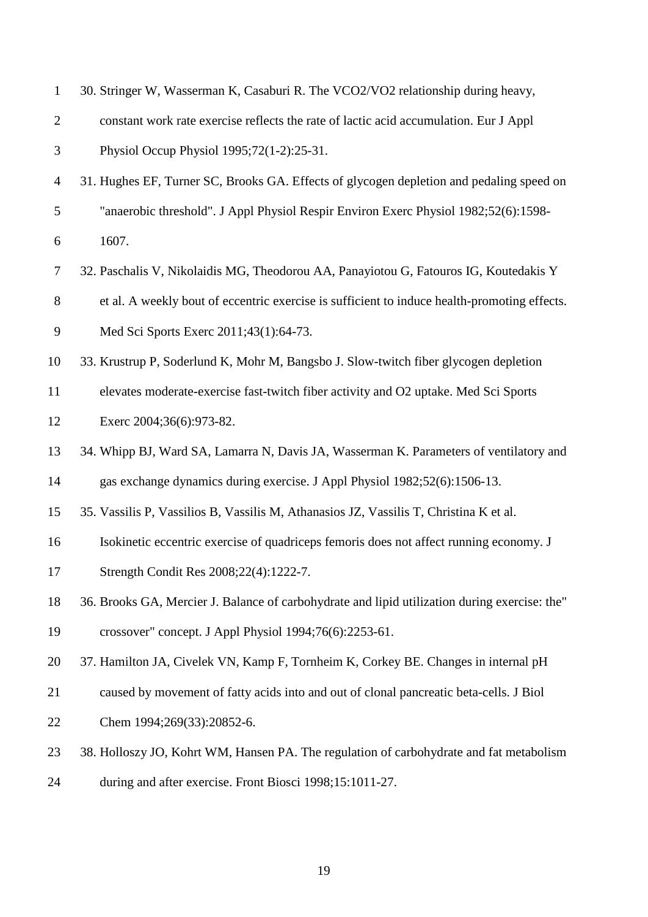| $\mathbf{1}$   | 30. Stringer W, Wasserman K, Casaburi R. The VCO2/VO2 relationship during heavy,              |
|----------------|-----------------------------------------------------------------------------------------------|
| $\overline{2}$ | constant work rate exercise reflects the rate of lactic acid accumulation. Eur J Appl         |
| 3              | Physiol Occup Physiol 1995;72(1-2):25-31.                                                     |
| 4              | 31. Hughes EF, Turner SC, Brooks GA. Effects of glycogen depletion and pedaling speed on      |
| 5              | "anaerobic threshold". J Appl Physiol Respir Environ Exerc Physiol 1982;52(6):1598-           |
| 6              | 1607.                                                                                         |
| 7              | 32. Paschalis V, Nikolaidis MG, Theodorou AA, Panayiotou G, Fatouros IG, Koutedakis Y         |
| 8              | et al. A weekly bout of eccentric exercise is sufficient to induce health-promoting effects.  |
| 9              | Med Sci Sports Exerc 2011;43(1):64-73.                                                        |
| 10             | 33. Krustrup P, Soderlund K, Mohr M, Bangsbo J. Slow-twitch fiber glycogen depletion          |
| 11             | elevates moderate-exercise fast-twitch fiber activity and O2 uptake. Med Sci Sports           |
| 12             | Exerc 2004;36(6):973-82.                                                                      |
| 13             | 34. Whipp BJ, Ward SA, Lamarra N, Davis JA, Wasserman K. Parameters of ventilatory and        |
| 14             | gas exchange dynamics during exercise. J Appl Physiol 1982;52(6):1506-13.                     |
| 15             | 35. Vassilis P, Vassilios B, Vassilis M, Athanasios JZ, Vassilis T, Christina K et al.        |
| 16             | Isokinetic eccentric exercise of quadriceps femoris does not affect running economy. J        |
| 17             | Strength Condit Res 2008;22(4):1222-7.                                                        |
| 18             | 36. Brooks GA, Mercier J. Balance of carbohydrate and lipid utilization during exercise: the" |
| 19             | crossover" concept. J Appl Physiol 1994;76(6):2253-61.                                        |
| 20             | 37. Hamilton JA, Civelek VN, Kamp F, Tornheim K, Corkey BE. Changes in internal pH            |
| 21             | caused by movement of fatty acids into and out of clonal pancreatic beta-cells. J Biol        |
| 22             | Chem 1994;269(33):20852-6.                                                                    |
| 23             | 38. Holloszy JO, Kohrt WM, Hansen PA. The regulation of carbohydrate and fat metabolism       |
| 24             | during and after exercise. Front Biosci 1998;15:1011-27.                                      |
|                |                                                                                               |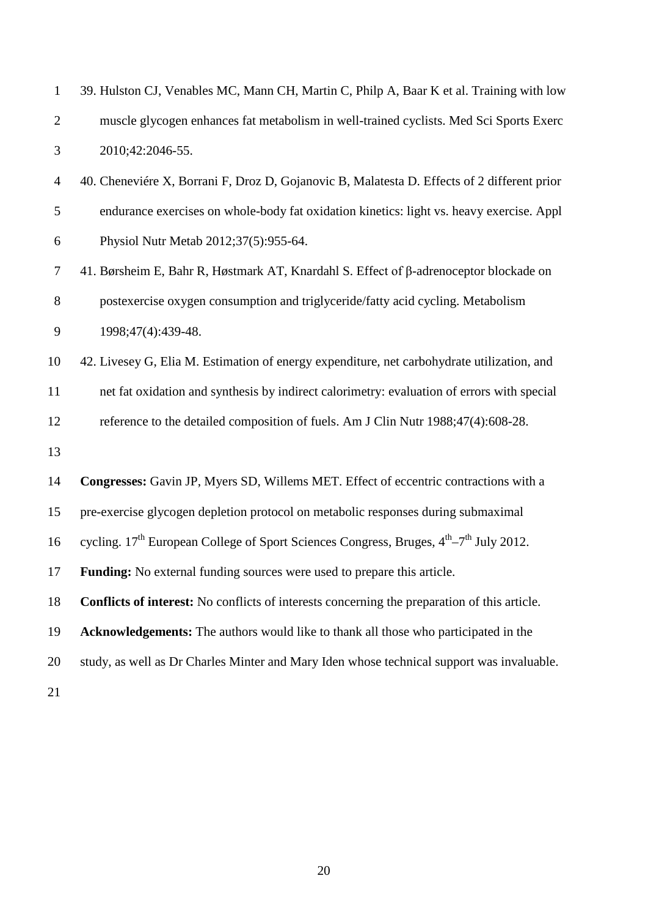| $\mathbf{1}$   | 39. Hulston CJ, Venables MC, Mann CH, Martin C, Philp A, Baar K et al. Training with low            |
|----------------|-----------------------------------------------------------------------------------------------------|
| $\overline{2}$ | muscle glycogen enhances fat metabolism in well-trained cyclists. Med Sci Sports Exerc              |
| 3              | 2010;42:2046-55.                                                                                    |
| $\overline{4}$ | 40. Cheneviére X, Borrani F, Droz D, Gojanovic B, Malatesta D. Effects of 2 different prior         |
| 5              | endurance exercises on whole-body fat oxidation kinetics: light vs. heavy exercise. Appl            |
| 6              | Physiol Nutr Metab 2012;37(5):955-64.                                                               |
| 7              | 41. Børsheim E, Bahr R, Høstmark AT, Knardahl S. Effect of β-adrenoceptor blockade on               |
| $8\,$          | postexercise oxygen consumption and triglyceride/fatty acid cycling. Metabolism                     |
| 9              | 1998;47(4):439-48.                                                                                  |
| 10             | 42. Livesey G, Elia M. Estimation of energy expenditure, net carbohydrate utilization, and          |
| 11             | net fat oxidation and synthesis by indirect calorimetry: evaluation of errors with special          |
| 12             | reference to the detailed composition of fuels. Am J Clin Nutr 1988;47(4):608-28.                   |
| 13             |                                                                                                     |
| 14             | Congresses: Gavin JP, Myers SD, Willems MET. Effect of eccentric contractions with a                |
| 15             | pre-exercise glycogen depletion protocol on metabolic responses during submaximal                   |
| 16             | cycling. $17th$ European College of Sport Sciences Congress, Bruges, $4th-7th$ July 2012.           |
| 17             | Funding: No external funding sources were used to prepare this article.                             |
| 18             | <b>Conflicts of interest:</b> No conflicts of interests concerning the preparation of this article. |
| 19             | Acknowledgements: The authors would like to thank all those who participated in the                 |
| 20             | study, as well as Dr Charles Minter and Mary Iden whose technical support was invaluable.           |
| 21             |                                                                                                     |